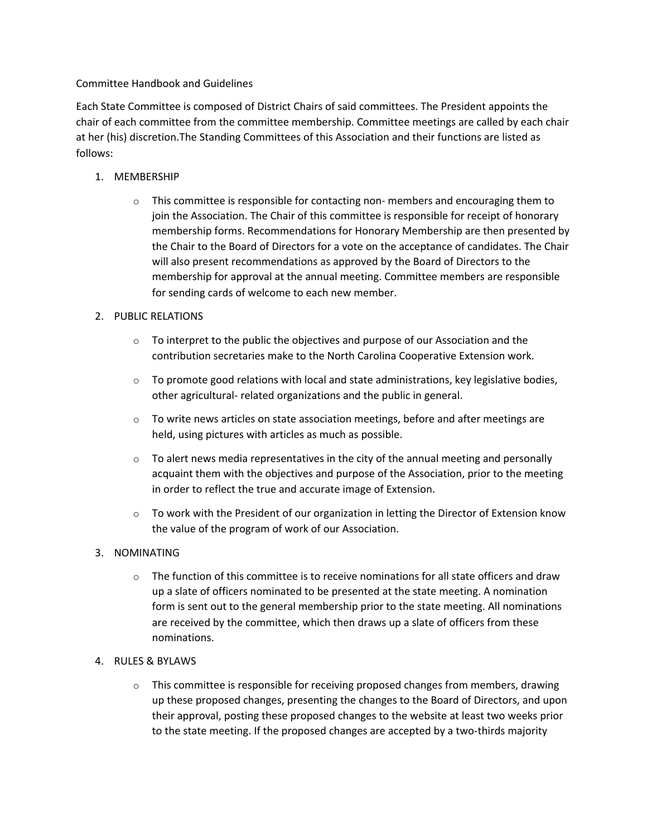### Committee Handbook and Guidelines

Each State Committee is composed of District Chairs of said committees. The President appoints the chair of each committee from the committee membership. Committee meetings are called by each chair at her (his) discretion.The Standing Committees of this Association and their functions are listed as follows:

# 1. MEMBERSHIP

 $\circ$  This committee is responsible for contacting non- members and encouraging them to join the Association. The Chair of this committee is responsible for receipt of honorary membership forms. Recommendations for Honorary Membership are then presented by the Chair to the Board of Directors for a vote on the acceptance of candidates. The Chair will also present recommendations as approved by the Board of Directors to the membership for approval at the annual meeting. Committee members are responsible for sending cards of welcome to each new member.

# 2. PUBLIC RELATIONS

- $\circ$  To interpret to the public the objectives and purpose of our Association and the contribution secretaries make to the North Carolina Cooperative Extension work.
- $\circ$  To promote good relations with local and state administrations, key legislative bodies, other agricultural- related organizations and the public in general.
- $\circ$  To write news articles on state association meetings, before and after meetings are held, using pictures with articles as much as possible.
- $\circ$  To alert news media representatives in the city of the annual meeting and personally acquaint them with the objectives and purpose of the Association, prior to the meeting in order to reflect the true and accurate image of Extension.
- $\circ$  To work with the President of our organization in letting the Director of Extension know the value of the program of work of our Association.

#### 3. NOMINATING

 $\circ$  The function of this committee is to receive nominations for all state officers and draw up a slate of officers nominated to be presented at the state meeting. A nomination form is sent out to the general membership prior to the state meeting. All nominations are received by the committee, which then draws up a slate of officers from these nominations.

#### 4. RULES & BYLAWS

 $\circ$  This committee is responsible for receiving proposed changes from members, drawing up these proposed changes, presenting the changes to the Board of Directors, and upon their approval, posting these proposed changes to the website at least two weeks prior to the state meeting. If the proposed changes are accepted by a two-thirds majority